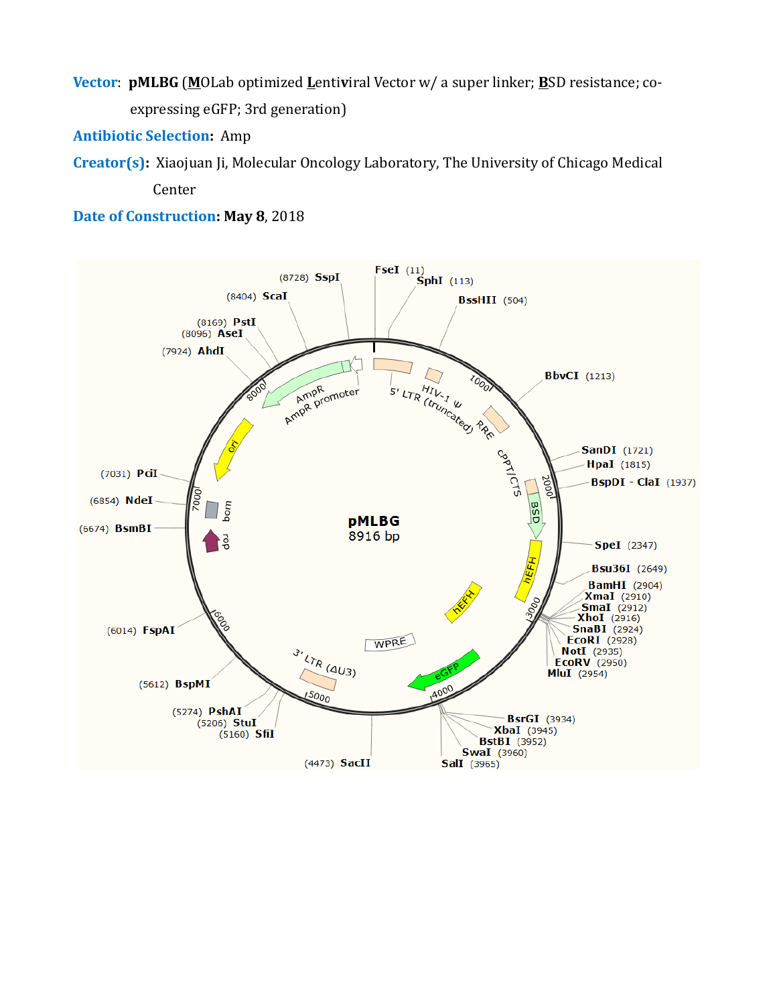**Vector**: **pMLBG** (**M**OLab optimized **L**enti**v**iral Vector w/ a super linker; **B**SD resistance; coexpressing eGFP; 3rd generation)

**Antibiotic Selection:** Amp

**Creator(s):** Xiaojuan Ji, Molecular Oncology Laboratory, The University of Chicago Medical

Center

**Date of Construction: May 8**, 2018

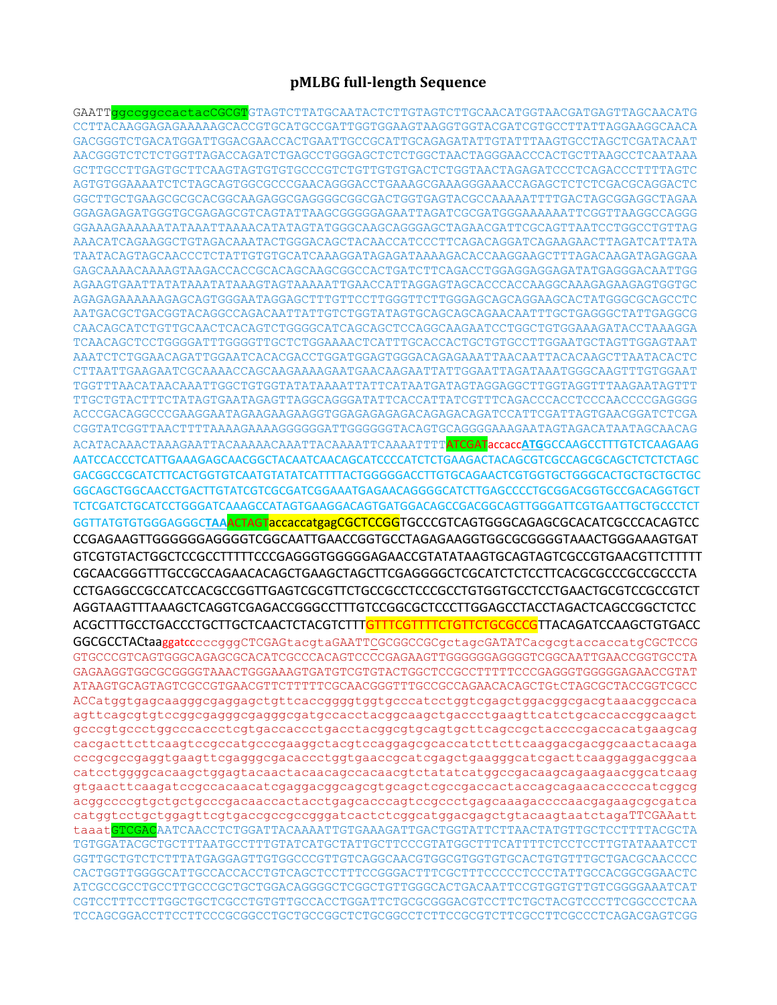## **pMLBG full-length Sequence**

GAATTggccggccactacCGCGTGTAGTCTTATGCAATACTCTTGTAGTCTTGCAACATGGTAACGATGAGTTAGCAACATG CCTTACAAGGAGAGAAAAAGCACCGTGCATGCCGATTGGTGGAAGTAAGGTGGTACGATCGTGCCTTATTAGGAAGGCAACA GACGGGTCTGACATGGATTGGACGAACCACTGAATTGCCGCATTGCAGAGATATTGTATTTAAGTGCCTAGCTCGATACAAT AACGGGTCTCTCTGGTTAGACCAGATCTGAGCCTGGGAGCTCTCTGGCTAACTAGGGAACCCACTGCTTAAGCCTCAATAAA GCTTGCCTTGAGTGCTTCAAGTAGTGTGTGCCCGTCTGTTGTGTGACTCTGGTAACTAGAGATCCCTCAGACCCTTTTAGTC AGTGTGGAAAATCTCTAGCAGTGGCGCCCGAACAGGGACCTGAAAGCGAAAGGGAAACCAGAGCTCTCTCGACGCAGGACTC GGCTTGCTGAAGCGCGCACGGCAAGAGGCGAGGGGCGGCGACTGGTGAGTACGCCAAAAATTTTGACTAGCGGAGGCTAGAA GGAGAGAGATGGGTGCGAGAGCGTCAGTATTAAGCGGGGGAGAATTAGATCGCGATGGGAAAAAATTCGGTTAAGGCCAGGG GGAAAGAAAAAATATAAATTAAAACATATAGTATGGGCAAGCAGGGAGCTAGAACGATTCGCAGTTAATCCTGGCCTGTTAG AAACATCAGAAGGCTGTAGACAAATACTGGGACAGCTACAACCATCCCTTCAGACAGGATCAGAAGAACTTAGATCATTATA TAATACAGTAGCAACCCTCTATTGTGTGCATCAAAGGATAGAGATAAAAGACACCAAGGAAGCTTTAGACAAGATAGAGGAA GAGCAAAACAAAAGTAAGACCACCGCACAGCAAGCGGCCACTGATCTTCAGACCTGGAGGAGGAGATATGAGGGACAATTGG AGAAGTGAATTATATAAATATAAAGTAGTAAAAATTGAACCATTAGGAGTAGCACCCACCAAGGCAAAGAGAAGAGTGGTGC AGAGAGAAAAAAGAGCAGTGGGAATAGGAGCTTTGTTCCTTGGGTTCTTGGGAGCAGCAGGAAGCACTATGGGCGCAGCCTC AATGACGCTGACGGTACAGGCCAGACAATTATTGTCTGGTATAGTGCAGCAGCAGAACAATTTGCTGAGGGCTATTGAGGCG CAACAGCATCTGTTGCAACTCACAGTCTGGGGCATCAGCAGCTCCAGGCAAGAATCCTGGCTGTGGAAAGATACCTAAAGGA TCAACAGCTCCTGGGGATTTGGGGTTGCTCTGGAAAACTCATTTGCACCACTGCTGTGCCTTGGAATGCTAGTTGGAGTAAT AAATCTCTGGAACAGATTGGAATCACACGACCTGGATGGAGTGGGACAGAGAAATTAACAATTACACAAGCTTAATACACTC CTTAATTGAAGAATCGCAAAACCAGCAAGAAAAGAATGAACAAGAATTATTGGAATTAGATAAATGGGCAAGTTTGTGGAAT TGGTTTAACATAACAAATTGGCTGTGGTATATAAAATTATTCATAATGATAGTAGGAGGCTTGGTAGGTTTAAGAATAGTTT TTGCTGTACTTTCTATAGTGAATAGAGTTAGGCAGGGATATTCACCATTATCGTTTCAGACCCACCTCCCAACCCCGAGGGG ACCCGACAGGCCCGAAGGAATAGAAGAAGAAGGTGGAGAGAGAGACAGAGACAGATCCATTCGATTAGTGAACGGATCTCGA CGGTATCGGTTAACTTTTAAAAGAAAAGGGGGGATTGGGGGGTACAGTGCAGGGGAAAGAATAGTAGACATAATAGCAACAG ACATACAAACTAAAGAATTACAAAAACAAATTACAAAATTCAAAATTTTATCGATaccacc**ATG**GCCAAGCCTTTGTCTCAAGAAG AATCCACCCTCATTGAAAGAGCAACGGCTACAATCAACAGCATCCCCATCTCTGAAGACTACAGCGTCGCCAGCGCAGCTCTCTCTAGC GACGGCCGCATCTTCACTGGTGTCAATGTATATCATTTTACTGGGGGACCTTGTGCAGAACTCGTGGTGCTGGGCACTGCTGCTGCTGC GGCAGCTGGCAACCTGACTTGTATCGTCGCGATCGGAAATGAGAACAGGGGCATCTTGAGCCCCTGCGGACGGTGCCGACAGGTGCT TCTCGATCTGCATCCTGGGATCAAAGCCATAGTGAAGGACAGTGATGGACAGCCGACGGCAGTTGGGATTCGTGAATTGCTGCCCTCT GGTTATGTGTGGGAGGGC**TAA**ACTAGTaccaccatgagCGCTCCGGTGCCCGTCAGTGGGCAGAGCGCACATCGCCCACAGTCC CCGAGAAGTTGGGGGGAGGGGTCGGCAATTGAACCGGTGCCTAGAGAAGGTGGCGCGGGGTAAACTGGGAAAGTGAT GTCGTGTACTGGCTCCGCCTTTTTCCCGAGGGTGGGGGAGAACCGTATATAAGTGCAGTAGTCGCCGTGAACGTTCTTTTT CGCAACGGGTTTGCCGCCAGAACACAGCTGAAGCTAGCTTCGAGGGGCTCGCATCTCTCCTTCACGCGCCCGCCGCCCTA CCTGAGGCCGCCATCCACGCCGGTTGAGTCGCGTTCTGCCGCCTCCCGCCTGTGGTGCCTCCTGAACTGCGTCCGCCGTCT AGGTAAGTTTAAAGCTCAGGTCGAGACCGGGCCTTTGTCCGGCGCTCCCTTGGAGCCTACCTAGACTCAGCCGGCTCTCC ACGCTTTGCCTGACCCTGCTTGCTCAACTCTACGTCTTTGTTTCGTTTTCTGTTCTGCGCCGTTACAGATCCAAGCTGTGACC GGCGCCTACtaaggatcccccgggCTCGAGtacgtaGAATTCGCGGCCGCgctagcGATATCacgcgtaccaccatgCGCTCCG GTGCCCGTCAGTGGGCAGAGCGCACATCGCCCACAGTCCCCGAGAAGTTGGGGGGAGGGGTCGGCAATTGAACCGGTGCCTA GAGAAGGTGGCGCGGGGTAAACTGGGAAAGTGATGTCGTGTACTGGCTCCGCCTTTTTCCCGAGGGTGGGGGAGAACCGTAT ATAAGTGCAGTAGTCGCCGTGAACGTTCTTTTTCGCAACGGGTTTGCCGCCAGAACACAGCTGtCTAGCGCTACCGGTCGCC ACCatggtgagcaagggcgaggagctgttcaccggggtggtgcccatcctggtcgagctggacggcgacgtaaacggccaca agttcagcgtgtccggcgagggcgagggcgatgccacctacggcaagctgaccctgaagttcatctgcaccaccggcaagct gcccgtgccctggcccaccctcgtgaccaccctgacctacggcgtgcagtgcttcagccgctaccccgaccacatgaagcag cacgacttcttcaagtccgccatgcccgaaggctacgtccaggagcgcaccatcttcttcaaggacgacggcaactacaaga cccgcgccgaggtgaagttcgagggcgacaccctggtgaaccgcatcgagctgaagggcatcgacttcaaggaggacggcaa catcctggggcacaagctggagtacaactacaacagccacaacgtctatatcatggccgacaagcagaagaacggcatcaag gtgaacttcaagatccgccacaacatcgaggacggcagcgtgcagctcgccgaccactaccagcagaacacccccatcggcg acggccccgtgctgctgcccgacaaccactacctgagcacccagtccgccctgagcaaagaccccaacgagaagcgcgatca catggtcctgctggagttcgtgaccgccgccgggatcactctcggcatggacgagctgtacaagtaatctagaTTCGAAatt taaatGTCGACAATCAACCTCTGGATTACAAAATTGTGAAAGATTGACTGGTATTCTTAACTATGTTGCTCCTTTTACGCTA TGTGGATACGCTGCTTTAATGCCTTTGTATCATGCTATTGCTTCCCGTATGGCTTTCATTTTCTCCTCCTTGTATAAATCCT GGTTGCTGTCTCTTTATGAGGAGTTGTGGCCCGTTGTCAGGCAACGTGGCGTGGTGTGCACTGTGTTTGCTGACGCAACCCC CACTGGTTGGGGCATTGCCACCACCTGTCAGCTCCTTTCCGGGACTTTCGCTTTCCCCCTCCCTATTGCCACGGCGGAACTC ATCGCCGCCTGCCTTGCCCGCTGCTGGACAGGGGCTCGGCTGTTGGGCACTGACAATTCCGTGGTGTTGTCGGGGAAATCAT CGTCCTTTCCTTGGCTGCTCGCCTGTGTTGCCACCTGGATTCTGCGCGGGACGTCCTTCTGCTACGTCCCTTCGGCCCTCAA TCCAGCGGACCTTCCTTCCCGCGGCCTGCTGCCGGCTCTGCGGCCTCTTCCGCGTCTTCGCCTTCGCCCTCAGACGAGTCGG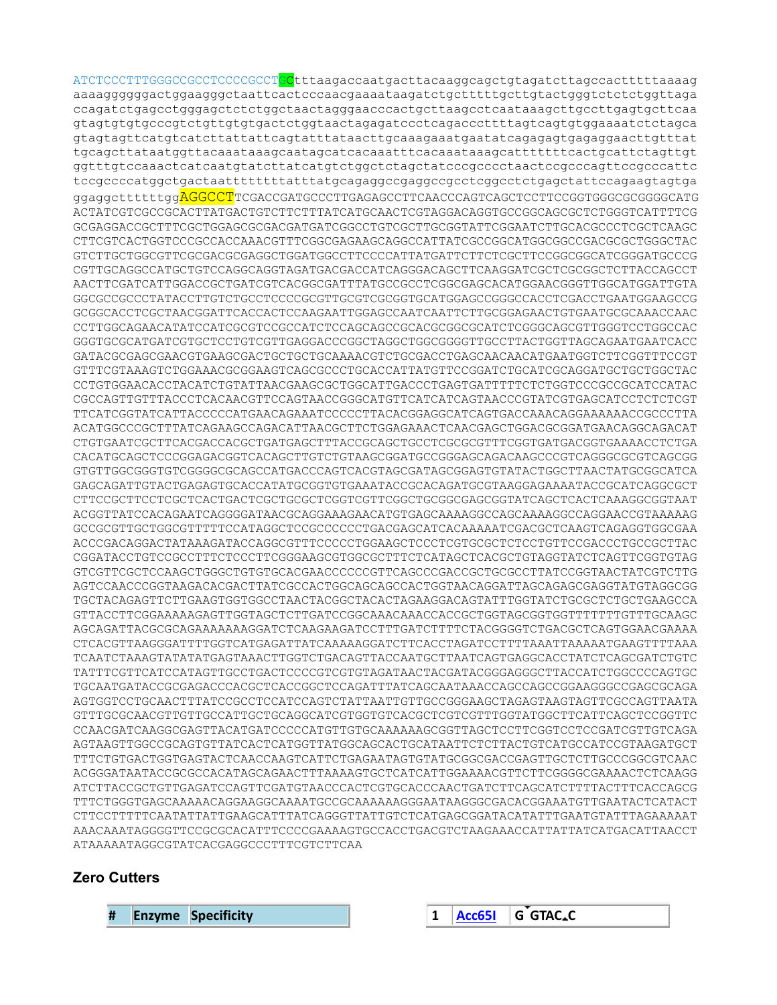ATCTCCCTTTGGGCCGCCTCCCCGCCTCCtttaagaccaatgacttacaaggcagctgtagatcttagccactttttaaaag aaaaggggggactggaagggctaattcactcccaacgaaaataagatctgctttttgcttgtactgggtctctctggttaga ccagatctgagcctgggagctctctggctaactagggaacccactgcttaagcctcaataaagcttgccttgagtgcttcaa gtagtgtgtgcccgtctgttgtgtgactctggtaactagagatccctcagacccttttagtcagtgtggaaaatctctagca gtagtagttcatgtcatcttattattcagtatttataacttgcaaagaaatgaatatcagagagtgagaggaacttgtttat tgcagcttataatggttacaaataaagcaatagcatcacaaatttcacaaataaagcatttttttcactgcattctagttgt ggtttgtccaaactcatcaatgtatcttatcatgtctggctctagctatcccgcccctaactccgcccagttccgcccattc tccgccccatggctgactaattttttttatttatgcagaggccgaggccgcctcggcctctgagctattccagaagtagtga ggaggcttttttggAGGCCTTCGACCGATGCCCTTGAGAGCCTTCAACCCAGTCAGCTCCTTCCGGTGGGCGGGGCATG ACTATCGTCGCCGCACTTATGACTGTCTTCTTTATCATGCAACTCGTAGGACAGGTGCCGGCAGCGCTCTGGGTCATTTTCG GCGAGGACCGCTTTCGCTGGAGCGCGACGATGATCGGCCTGTCGCTTGCGGTATTCGGAATCTTGCACGCCCTCGCTCAAGC CTTCGTCACTGGTCCCGCCACCAAACGTTTCGGCGAGAAGCAGGCCATTATCGCCGGCATGGCGGCCGACGCGCTGGGCTAC GTCTTGCTGGCGTTCGCGACGCGAGGCTGGATGGCCTTCCCCATTATGATTCTTCTCGCTTCCGGCGGCATCGGGATGCCCG CGTTGCAGGCCATGCTGTCCAGGCAGGTAGATGACGACCATCAGGGACAGCTTCAAGGATCGCTCGCGGCTCTTACCAGCCT AACTTCGATCATTGGACCGCTGATCGTCACGGCGATTTATGCCGCCTCGGCGAGCACATGGAACGGGTTGGCATGGATTGTA GGCGCCGCCCTATACCTTGTCTGCCTCCCCGCGTTGCGTCGCGGTGCATGGAGCCGGGCCACCTCGACCTGAATGGAAGCCG GCGGCACCTCGCTAACGGATTCACCACTCCAAGAATTGGAGCCAATCAATTCTTGCGGAGAACTGTGAATGCGCAAACCAAC CCTTGGCAGAACATATCCATCGCGTCCGCCATCTCCAGCAGCCGCACGCGGCGCATCTCGGGCAGCGTTGGGTCCTGGCCAC GGGTGCGCATGATCGTGCTCCTGTCGTTGAGGACCCGGCTAGGCTGGCGGGGTTGCCTTACTGGTTAGCAGAATGAATCACC GATACGCGAGCGAACGTGAAGCGACTGCTGCTGCAAAACGTCTGCGACCTGAGCAACAACATGAATGGTCTTCGGTTTCCGT GTTTCGTAAAGTCTGGAAACGCGGAAGTCAGCGCCCTGCACCATTATGTTCCGGATCTGCATCGCAGGATGCTGCTGGCTAC CCTGTGGAACACCTACATCTGTATTAACGAAGCGCTGGCATTGACCCTGAGTGATTTTTCTCTGGTCCCGCCGCATCCATAC CGCCAGTTGTTTACCCTCACAACGTTCCAGTAACCGGGCATGTTCATCATCAGTAACCCGTATCGTGAGCATCCTCTCTCGT TTCATCGGTATCATTACCCCCATGAACAGAAATCCCCCTTACACGGAGGCATCAGTGACCAAACAGGAAAAAACCGCCCTTA ACATGGCCCGCTTTATCAGAAGCCAGACATTAACGCTTCTGGAGAAACTCAACGAGCTGGACGCGGATGAACAGGCAGACAT CTGTGAATCGCTTCACGACCACGCTGATGAGCTTTACCGCAGCTGCCTCGCGCGTTTCGGTGATGACGGTGAAAACCTCTGA CACATGCAGCTCCCGGAGACGGTCACAGCTTGTCTGTAAGCGGATGCCGGGAGCAGACAAGCCCGTCAGGGCGCGTCAGCGG GTGTTGGCGGGTGTCGGGGCGCAGCCATGACCCAGTCACGTAGCGATAGCGGAGTGTATACTGGCTTAACTATGCGGCATCA GAGCAGATTGTACTGAGAGTGCACCATATGCGGTGTGAAATACCGCACAGATGCGTAAGGAGAAAATACCGCATCAGGCGCT CTTCCGCTTCCTCGCTCACTGACTCGCTGCGCTCGGTCGTTCGGCTGCGGCGAGCGGTATCAGCTCACTCAAAGGCGGTAAT ACGGTTATCCACAGAATCAGGGGATAACGCAGGAAAGAACATGTGAGCAAAAGGCCAGCAAAAGGCCAGGAACCGTAAAAAG GCCGCGTTGCTGGCGTTTTTCCATAGGCTCCGCCCCCCTGACGAGCATCACAAAAATCGACGCTCAAGTCAGAGGTGGCGAA ACCCGACAGGACTATAAAGATACCAGGCGTTTCCCCCTGGAAGCTCCCTCGTGCGCTCTCCTGTTCCGACCCTGCCGCTTAC CGGATACCTGTCCGCCTTTCTCCCTTCGGGAAGCGTGGCGCTTTCTCATAGCTCACGCTGTAGGTATCTCAGTTCGGTGTAG GTCGTTCGCTCCAAGCTGGGCTGTGTGCACGAACCCCCCGTTCAGCCCGACCGCTGCGCCTTATCCGGTAACTATCGTCTTG AGTCCAACCCGGTAAGACACGACTTATCGCCACTGGCAGCAGCCACTGGTAACAGGATTAGCAGAGCGAGGTATGTAGGCGG TGCTACAGAGTTCTTGAAGTGGTGGCCTAACTACGGCTACACTAGAAGGACAGTATTTGGTATCTGCGCTCTGCTGAAGCCA GTTACCTTCGGAAAAAGAGTTGGTAGCTCTTGATCCGGCAAACAAACCACCGCTGGTAGCGGTGGTTTTTTTGTTTGCAAGC AGCAGATTACGCGCAGAAAAAAAGGATCTCAAGAAGATCCTTTGATCTTTTCTACGGGGTCTGACGCTCAGTGGAACGAAAA CTCACGTTAAGGGATTTTGGTCATGAGATTATCAAAAAGGATCTTCACCTAGATCCTTTTAAATTAAAAATGAAGTTTTAAA TCAATCTAAAGTATATATGAGTAAACTTGGTCTGACAGTTACCAATGCTTAATCAGTGAGGCACCTATCTCAGCGATCTGTC TATTTCGTTCATCCATAGTTGCCTGACTCCCCGTCGTGTAGATAACTACGATACGGGAGGGCTTACCATCTGGCCCCAGTGC TGCAATGATACCGCGAGACCCACGCTCACCGGCTCCAGATTTATCAGCAATAAACCAGCCAGCCGGAAGGGCCGAGCGCAGA AGTGGTCCTGCAACTTTATCCGCCTCCATCCAGTCTATTAATTGTTGCCGGGAAGCTAGAGTAAGTAGTTCGCCAGTTAATA GTTTGCGCAACGTTGTTGCCATTGCTGCAGGCATCGTGGTGTCACGCTCGTCGTTTGGTATGGCTTCATTCAGCTCCGGTTC CCAACGATCAAGGCGAGTTACATGATCCCCCATGTTGTGCAAAAAAGCGGTTAGCTCCTTCGGTCCTCCGATCGTTGTCAGA AGTAAGTTGGCCGCAGTGTTATCACTCATGGTTATGGCAGCACTGCATAATTCTCTTACTGTCATGCCATCCGTAAGATGCT TTTCTGTGACTGGTGAGTACTCAACCAAGTCATTCTGAGAATAGTGTATGCGGCGACCGAGTTGCTCTTGCCCGGCGTCAAC ACGGGATAATACCGCGCCACATAGCAGAACTTTAAAAGTGCTCATCATTGGAAAACGTTCTTCGGGGCGAAAACTCTCAAGG ATCTTACCGCTGTTGAGATCCAGTTCGATGTAACCCACTCGTGCACCCAACTGATCTTCAGCATCTTTTACTTTCACCAGCG TTTCTGGGTGAGCAAAAACAGGAAGGCAAAATGCCGCAAAAAAGGGAATAAGGGCGACACGGAAATGTTGAATACTCATACT CTTCCTTTTTCAATATTATTGAAGCATTTATCAGGGTTATTGTCTCATGAGCGGATACATATTTGAATGTATTTAGAAAAAT AAACAAATAGGGGTTCCGCGCACATTTCCCCGAAAAGTGCCACCTGACGTCTAAGAAACCATTATTATCATGACATTAACCT ATAAAAATAGGCGTATCACGAGGCCCTTTCGTCTTCAA

## **Zero Cutters**

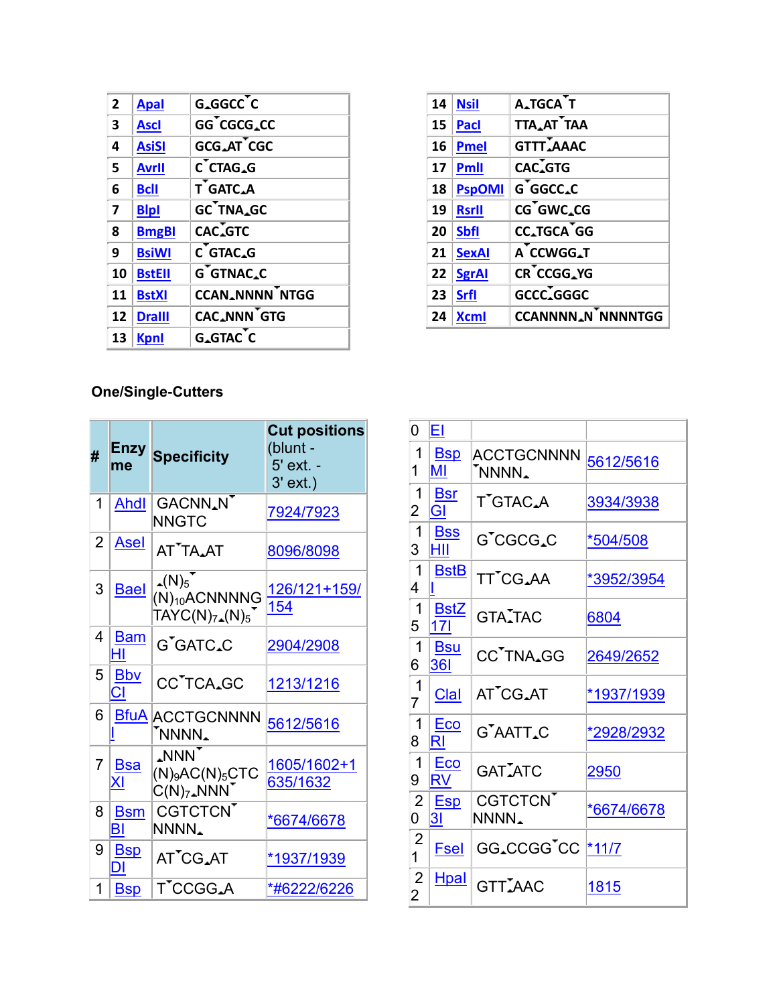| $\overline{2}$ | <b>Apal</b>   | G_GGCC <sup>T</sup> C |
|----------------|---------------|-----------------------|
| 3              | <b>Ascl</b>   | GG CGCG.CC            |
| 4              | <b>AsiSI</b>  | GCG_AT CGC            |
| 5              | <b>Avrll</b>  | C CTAG_G              |
| 6              | <b>Bcll</b>   | T GATC_A              |
| $\overline{7}$ | <b>Blpl</b>   | GC TNA_GC             |
| 8              | <b>BmgBI</b>  | CAC.GTC               |
| 9              | <b>BsiWI</b>  | $C$ GTAC.G            |
| 10             | <b>BstEll</b> | G GTNAC.C             |
| 11             | <b>BstXI</b>  | <b>CCAN_NNNN NTGG</b> |
| 12             | <b>Dralll</b> | CAC_NNN GTG           |
| 13             | <b>Kpnl</b>   | G.GTAC C              |

| 14 | <b>Nsil</b>   | A_TGCA T                 |
|----|---------------|--------------------------|
| 15 | Pacl          | TTA_AT TAA               |
| 16 | <b>Pmel</b>   | <b>GTTT_AAAC</b>         |
| 17 | <b>Pmll</b>   | CAC.GTG                  |
| 18 | <b>PspOMI</b> | G GGCC.C                 |
| 19 | <b>Rsrll</b>  | CG GWC.CG                |
| 20 | <b>Sbfl</b>   | CC.TGCA GG               |
| 21 | <b>SexAl</b>  | A CCWGG_T                |
| 22 | SgrAl         | CR CCGG_YG               |
| 23 | <b>Srfl</b>   | GCCC <sub>4</sub> GGGC   |
| 24 | <b>Xcml</b>   | <b>CCANNNN_N_NMNNTGG</b> |

## One/Single-Cutters

| # | Enzy<br>me              | <b>Specificity</b>                                                        | <b>Cut positions</b><br>(blunt -<br>5' ext. -<br>$3'$ ext.) |
|---|-------------------------|---------------------------------------------------------------------------|-------------------------------------------------------------|
| 1 | <b>Ahdl</b>             | GACNN <sub>A</sub> N<br><b>NNGTC</b>                                      | 7924/7923                                                   |
| 2 | <u>Asel</u>             | AT <sup>*</sup> TA <sub>AT</sub>                                          | 8096/8098                                                   |
| 3 | <b>Bael</b>             | $\Delta(N)_5$<br>$(N)_{10}$ ACNNNNG<br>$TAYC(N)_{7\text{-}}(N)_5$         | <u>126/121+159/</u><br>154                                  |
| 4 | <b>Bam</b><br>HI        | G'GATC.C                                                                  | 2904/2908                                                   |
| 5 | <b>Bby</b><br><b>CI</b> | CC <sup>T</sup> CA <sub>4</sub> GC                                        | <u>1213/1216</u>                                            |
| 6 |                         | <b>BfuA ACCTGCNNNN</b><br>'NNNN.                                          | 5612/5616                                                   |
| 7 | <b>Bsa</b><br>Χl        | <b>NNN</b><br>$(N)$ <sub>9</sub> AC(N) <sub>5</sub> CTC<br>$C(N)_7$ . NNN | <u>1605/1602+1</u><br>635/1632                              |
| 8 | <b>Bsm</b><br>BI        | <b>CGTCTCN</b><br>NNNN.                                                   | *6674/6678                                                  |
| 9 | <b>B</b> sp<br>DI       | AT <sup>*</sup> CG.AT                                                     | *1937/1939                                                  |
| 1 | <u>Bsp</u>              | T'CCGG.A                                                                  | <u>*#6222/6226</u>                                          |

| 0                   | <u>EΙ</u>                      |                                          |                   |
|---------------------|--------------------------------|------------------------------------------|-------------------|
| 1<br>1              | <b>Bsp</b><br>MI               | <b>ACCTGCNNNN</b><br>NNNN.               | 5612/5616         |
| 1<br>2              | <b>Bsr</b><br>GI               | T <sup>"</sup> GTAC <sub>A</sub>         | 3934/3938         |
| $\mathbf 1$<br>3    | <b>Bss</b><br>ΗIΙ              | G'CGCG.C                                 | *504/508          |
| 1<br>4              | <b>BstB</b><br>II              | TT <sup>'</sup> CG.AA                    | *3952/3954        |
| -1<br>5             | <b>BstZ</b><br>17 <sup>1</sup> | GTA <sub>I</sub> TAC                     | 6804              |
| $\mathbf 1$<br>6    | <b>Bsu</b><br><b>361</b>       | CC <sup>T</sup> NA <sub>4</sub> GG       | 2649/2652         |
| $\mathbf 1$<br>7    | <b>Clal</b>                    | AT <sup>T</sup> CG <sub>AT</sub>         | <u>*1937/1939</u> |
| 1<br>8              | Eco<br>RI                      | G <sup>"</sup> AATT.C                    | *2928/2932        |
| 1<br>9              | Eco<br><b>RV</b>               | <b>GATIATC</b>                           | 2950              |
| $\overline{2}$<br>0 | <b>Esp</b><br>31               | <b>CGTCTCN</b><br>NNNN.                  | *6674/6678        |
| $\overline{2}$<br>1 | <b>Fsel</b>                    | GG_CCGG <sup>T</sup> CC <sup>*11/7</sup> |                   |
| $\overline{2}$<br>2 | <b>Hpal</b>                    | <b>GTTIAAC</b>                           | 1815              |